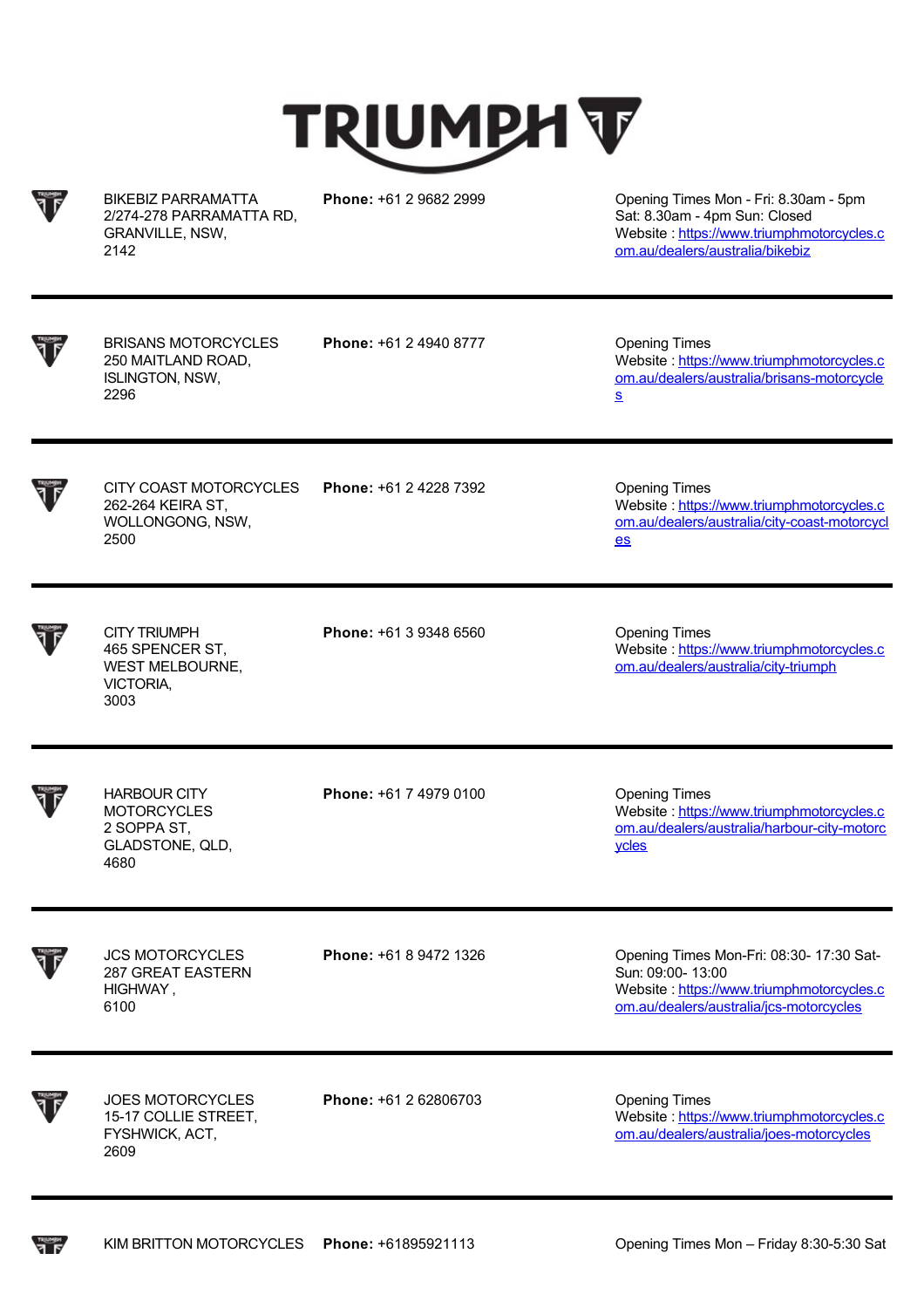



BIKEBIZ PARRAMATTA 2/274-278 PARRAMATTA RD, GRANVILLE, NSW, 2142

**Phone:** +61 2 9682 2999 Opening Times Mon - Fri: 8.30am - 5pm Sat: 8.30am - 4pm Sun: Closed Website : [https://www.triumphmotorcycles.c](https://www.triumphmotorcycles.com.au/dealers/australia/bikebiz) om.au/dealers/australia/bikebiz

BRISANS MOTORCYCLES 250 MAITLAND ROAD, ISLINGTON, NSW, 2296

**Phone:** +61 2 4940 8777 Opening Times

Website: https://www.triumphmotorcycles.c [om.au/dealers/australia/brisans-motorcycle](https://www.triumphmotorcycles.com.au/dealers/australia/brisans-motorcycles) s

CITY COAST MOTORCYCLES 262-264 KEIRA ST, WOLLONGONG, NSW, 2500 **Phone:** +61 2 4228 7392 **Dening Times** 

Website : https://www.triumphmotorcycles.c [om.au/dealers/australia/city-coast-motorcycl](https://www.triumphmotorcycles.com.au/dealers/australia/city-coast-motorcycles) es

Website : https://www.triumphmotorcycles.c [om.au/dealers/australia/city-triumph](https://www.triumphmotorcycles.com.au/dealers/australia/city-triumph)

CITY TRIUMPH 465 SPENCER ST, WEST MELBOURNE, VICTORIA, 3003

HARBOUR CITY **MOTORCYCLES** 2 SOPPA ST, GLADSTONE, QLD, **Phone:** +61 3 9348 6560 **Dening Times** 

**Phone:** +61 7 4979 0100 **Dening Times** 

Website : https://www.triumphmotorcycles.c [om.au/dealers/australia/harbour-city-motorc](https://www.triumphmotorcycles.com.au/dealers/australia/harbour-city-motorcycles) ycles

JCS MOTORCYCLES 287 GREAT EASTERN HIGHWAY , 6100

4680

**Phone:** +61 8 9472 1326 Opening Times Mon-Fri: 08:30- 17:30 Sat-Sun: 09:00- 13:00 Website : https://www.triumphmotorcycles.c [om.au/dealers/australia/jcs-motorcycles](https://www.triumphmotorcycles.com.au/dealers/australia/jcs-motorcycles)

naumen<br>Alka

JOES MOTORCYCLES 15-17 COLLIE STREET, FYSHWICK, ACT, 2609

**Phone:** +61 2 62806703 Opening Times

Website : https://www.triumphmotorcycles.c [om.au/dealers/australia/joes-motorcycles](https://www.triumphmotorcycles.com.au/dealers/australia/joes-motorcycles)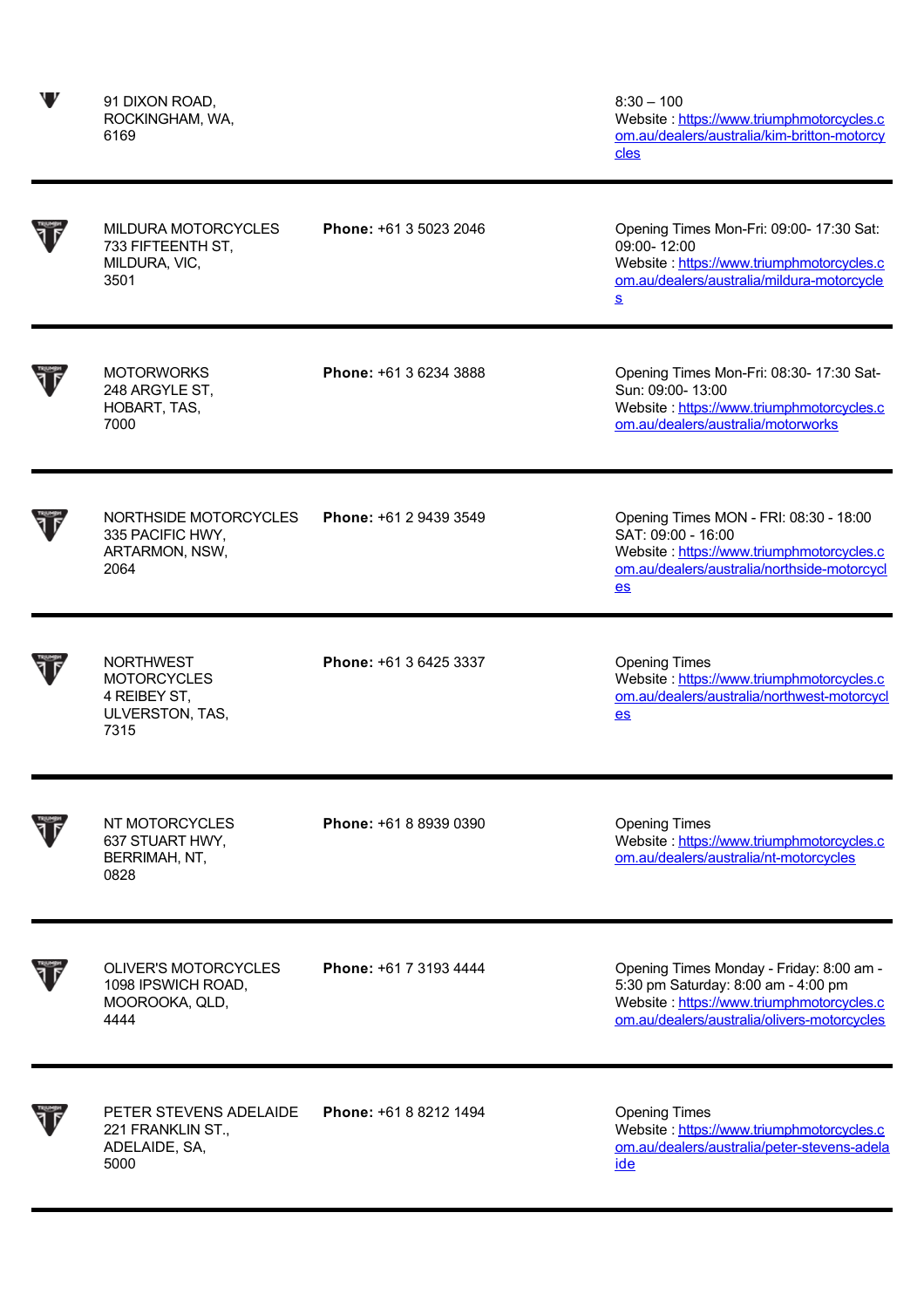91 DIXON ROAD, ROCKINGHAM, WA, 6169

 $8:30 - 100$ Website : <u>https://www.triumphmotorcycles.c</u> [om.au/dealers/australia/kim-britton-motorcy](https://www.triumphmotorcycles.com.au/dealers/australia/kim-britton-motorcycles) cles

| <b>MILDURA MOTORCYCLES</b><br>733 FIFTEENTH ST,<br>MILDURA, VIC,<br>3501          | Phone: +61 3 5023 2046 | Opening Times Mon-Fri: 09:00- 17:30 Sat:<br>09:00-12:00<br>Website: https://www.triumphmotorcycles.c<br>om.au/dealers/australia/mildura-motorcycle<br><u>s</u>              |
|-----------------------------------------------------------------------------------|------------------------|-----------------------------------------------------------------------------------------------------------------------------------------------------------------------------|
| <b>MOTORWORKS</b><br>248 ARGYLE ST,<br>HOBART, TAS,<br>7000                       | Phone: +61 3 6234 3888 | Opening Times Mon-Fri: 08:30- 17:30 Sat-<br>Sun: 09:00- 13:00<br>Website: https://www.triumphmotorcycles.c<br>om.au/dealers/australia/motorworks                            |
| NORTHSIDE MOTORCYCLES<br>335 PACIFIC HWY,<br>ARTARMON, NSW,<br>2064               | Phone: +61 2 9439 3549 | Opening Times MON - FRI: 08:30 - 18:00<br>SAT: 09:00 - 16:00<br>Website: https://www.triumphmotorcycles.c<br>om.au/dealers/australia/northside-motorcycl<br>$es$            |
| <b>NORTHWEST</b><br><b>MOTORCYCLES</b><br>4 REIBEY ST,<br>ULVERSTON, TAS,<br>7315 | Phone: +61 3 6425 3337 | <b>Opening Times</b><br>Website: https://www.triumphmotorcycles.c<br>om.au/dealers/australia/northwest-motorcycl<br>$es$                                                    |
| NT MOTORCYCLES<br>637 STUART HWY,<br>BERRIMAH, NT,<br>0828                        | Phone: +61 8 8939 0390 | <b>Opening Times</b><br>Website: https://www.triumphmotorcycles.c<br>om.au/dealers/australia/nt-motorcycles                                                                 |
| <b>OLIVER'S MOTORCYCLES</b><br>1098 IPSWICH ROAD,<br>MOOROOKA, QLD,<br>4444       | Phone: +61 7 3193 4444 | Opening Times Monday - Friday: 8:00 am -<br>5:30 pm Saturday: 8:00 am - 4:00 pm<br>Website: https://www.triumphmotorcycles.c<br>om.au/dealers/australia/olivers-motorcycles |
| PETER STEVENS ADELAIDE<br>221 FRANKLIN ST.,<br>ADELAIDE, SA,<br>5000              | Phone: +61 8 8212 1494 | <b>Opening Times</b><br>Website: https://www.triumphmotorcycles.c<br>om.au/dealers/australia/peter-stevens-adela<br>ide                                                     |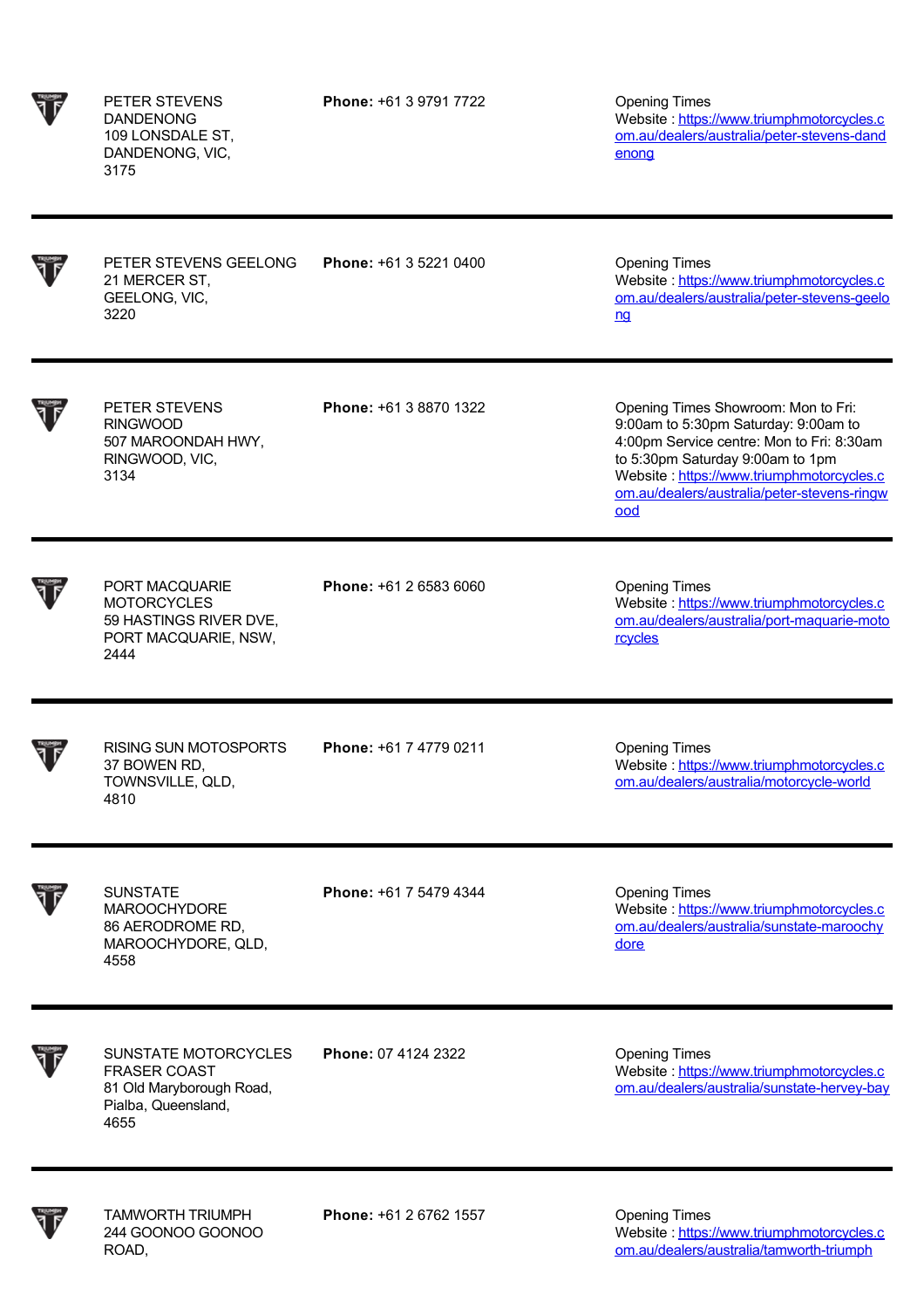PETER STEVENS DANDENONG 109 LONSDALE ST, DANDENONG, VIC, 3175

**Phone:** +61 3 9791 7722 Opening Times

Website : https://www.triumphmotorcycles.c [om.au/dealers/australia/peter-stevens-dand](https://www.triumphmotorcycles.com.au/dealers/australia/peter-stevens-dandenong) enong



PETER STEVENS GEELONG 21 MERCER ST, GEELONG, VIC, 3220

**Phone:** +61 3 5221 0400 Opening Times

Website : https://www.triumphmotorcycles.c [om.au/dealers/australia/peter-stevens-geelo](https://www.triumphmotorcycles.com.au/dealers/australia/peter-stevens-geelong) ng



PETER STEVENS RINGWOOD 507 MAROONDAH HWY, RINGWOOD, VIC, 3134

**Phone:** +61 3 8870 1322 Opening Times Showroom: Mon to Fri: 9:00am to 5:30pm Saturday: 9:00am to 4:00pm Service centre: Mon to Fri: 8:30am to 5:30pm Saturday 9:00am to 1pm Website : https://www.triumphmotorcycles.c [om.au/dealers/australia/peter-stevens-ringw](https://www.triumphmotorcycles.com.au/dealers/australia/peter-stevens-ringwood) ood

PORT MACQUARIE MOTORCYCLES 59 HASTINGS RIVER DVE, PORT MACQUARIE, NSW, 2444 **Phone:** +61 2 6583 6060 Opening Times Website : https://www.triumphmotorcycles.c [om.au/dealers/australia/port-maquarie-moto](https://www.triumphmotorcycles.com.au/dealers/australia/port-maquarie-motorcycles) **rcycles** RISING SUN MOTOSPORTS 37 BOWEN RD, TOWNSVILLE, QLD, 4810 **Phone:** +61 7 4779 0211 Opening Times Website : https://www.triumphmotorcycles.c [om.au/dealers/australia/motorcycle-world](https://www.triumphmotorcycles.com.au/dealers/australia/motorcycle-world)

SUNSTATE MAROOCHYDORE 86 AERODROME RD, MAROOCHYDORE, QLD, 4558

**Phone:** +61 7 5479 4344 **Opening Times** 

Website : https://www.triumphmotorcycles.c [om.au/dealers/australia/sunstate-maroochy](https://www.triumphmotorcycles.com.au/dealers/australia/sunstate-maroochydore) dore



SUNSTATE MOTORCYCLES FRASER COAST 81 Old Maryborough Road, Pialba, Queensland, 4655

**Phone:** 07 4124 2322 **Opening Times** 

Website : https://www.triumphmotorcycles.c [om.au/dealers/australia/sunstate-hervey-bay](https://www.triumphmotorcycles.com.au/dealers/australia/sunstate-hervey-bay)



TAMWORTH TRIUMPH 244 GOONOO GOONOO ROAD,

**Phone:** +61 2 6762 1557 **Opening Times** 

Website: https://www.triumphmotorcycles.c [om.au/dealers/australia/tamworth-triumph](https://www.triumphmotorcycles.com.au/dealers/australia/tamworth-triumph)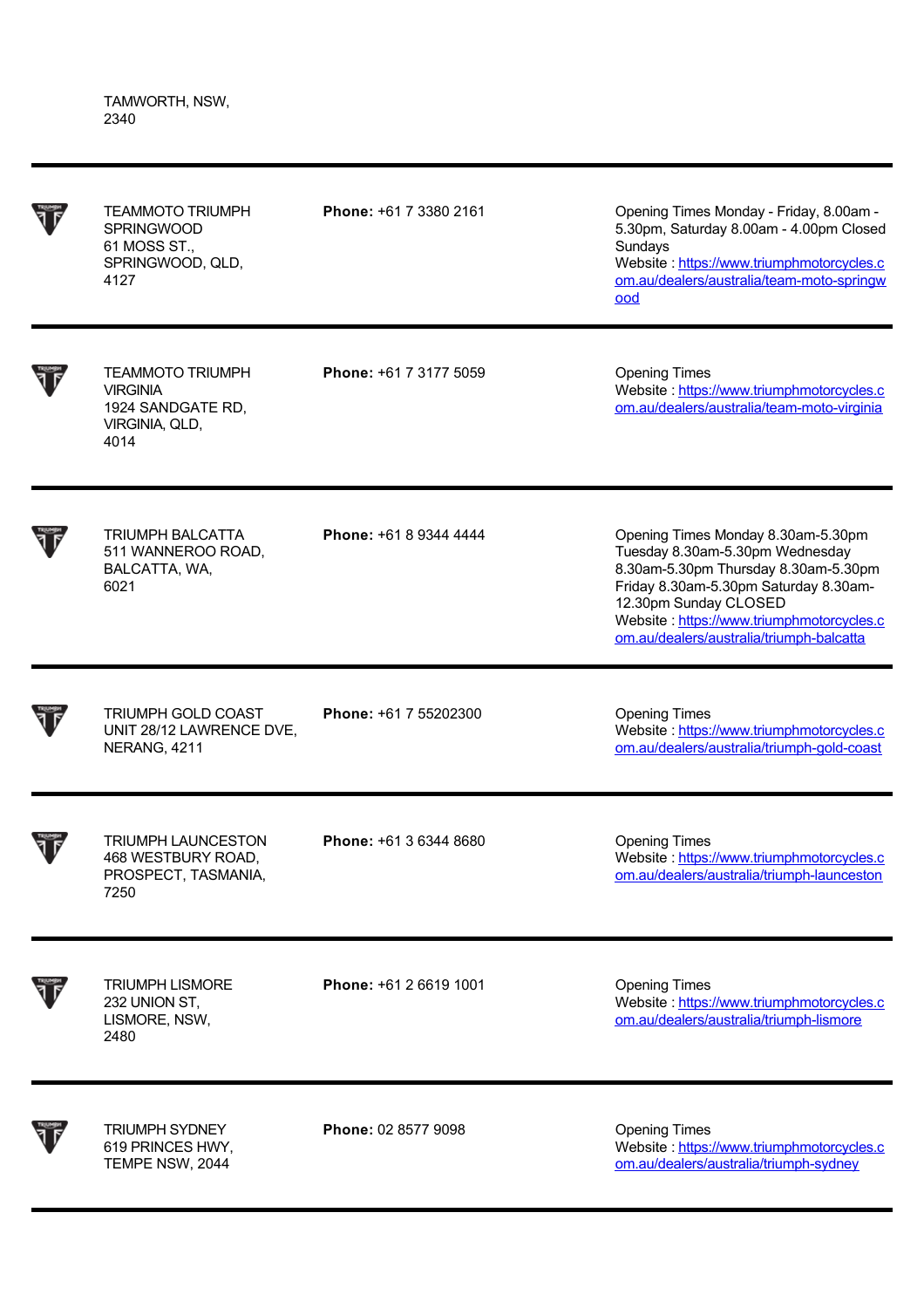TAMWORTH, NSW, 2340

| <b>TEAMMOTO TRIUMPH</b><br><b>SPRINGWOOD</b><br>61 MOSS ST.,<br>SPRINGWOOD, QLD,<br>4127  | Phone: +61 7 3380 2161 | Opening Times Monday - Friday, 8.00am -<br>5.30pm, Saturday 8.00am - 4.00pm Closed<br>Sundays<br>Website: https://www.triumphmotorcycles.c<br>om.au/dealers/australia/team-moto-springw<br>ood                                                                           |
|-------------------------------------------------------------------------------------------|------------------------|--------------------------------------------------------------------------------------------------------------------------------------------------------------------------------------------------------------------------------------------------------------------------|
| <b>TEAMMOTO TRIUMPH</b><br><b>VIRGINIA</b><br>1924 SANDGATE RD,<br>VIRGINIA, QLD,<br>4014 | Phone: +61 7 3177 5059 | <b>Opening Times</b><br>Website: https://www.triumphmotorcycles.c<br>om.au/dealers/australia/team-moto-virginia                                                                                                                                                          |
| TRIUMPH BALCATTA<br>511 WANNEROO ROAD,<br>BALCATTA, WA,<br>6021                           | Phone: +61 8 9344 4444 | Opening Times Monday 8.30am-5.30pm<br>Tuesday 8.30am-5.30pm Wednesday<br>8.30am-5.30pm Thursday 8.30am-5.30pm<br>Friday 8.30am-5.30pm Saturday 8.30am-<br>12.30pm Sunday CLOSED<br>Website: https://www.triumphmotorcycles.c<br>om.au/dealers/australia/triumph-balcatta |
| <b>TRIUMPH GOLD COAST</b><br>UNIT 28/12 LAWRENCE DVE,<br>NERANG, 4211                     | Phone: +61 7 55202300  | <b>Opening Times</b><br>Website: https://www.triumphmotorcycles.c<br>om.au/dealers/australia/triumph-gold-coast                                                                                                                                                          |
| <b>TRIUMPH LAUNCESTON</b><br>468 WESTBURY ROAD,<br>PROSPECT, TASMANIA,<br>7250            | Phone: +61 3 6344 8680 | <b>Opening Times</b><br>Website: https://www.triumphmotorcycles.c<br>om.au/dealers/australia/triumph-launceston                                                                                                                                                          |
| <b>TRIUMPH LISMORE</b><br>232 UNION ST,<br>LISMORE, NSW,<br>2480                          | Phone: +61 2 6619 1001 | <b>Opening Times</b><br>Website: https://www.triumphmotorcycles.c<br>om.au/dealers/australia/triumph-lismore                                                                                                                                                             |
| <b>TRIUMPH SYDNEY</b><br>619 PRINCES HWY,<br>TEMPE NSW, 2044                              | Phone: 02 8577 9098    | <b>Opening Times</b><br>Website: https://www.triumphmotorcycles.c<br>om.au/dealers/australia/triumph-sydney                                                                                                                                                              |